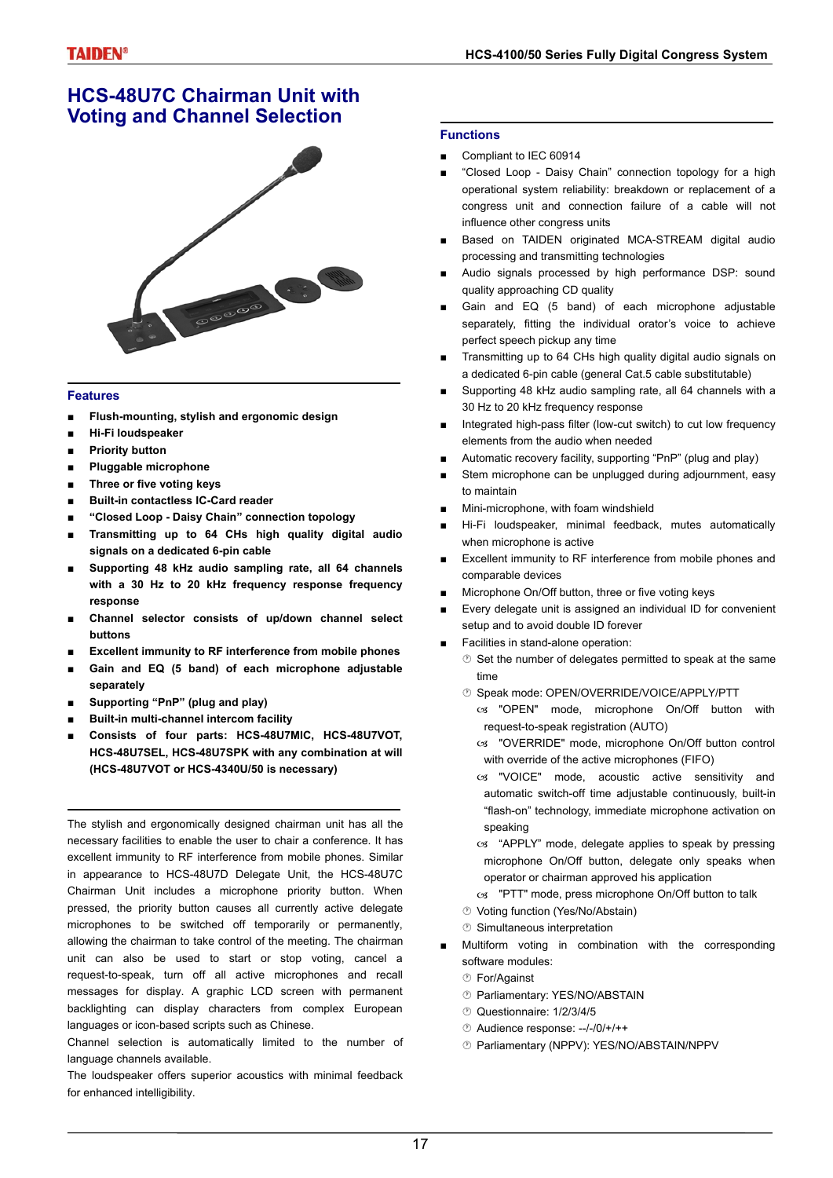## **HCS-48U7C Chairman Unit with Voting and Channel Selection**



### **Features**

- **■ Flush-mounting, stylish and ergonomic design**
- **■ Hi-Fi loudspeaker**
- **■ Priority button**
- **Pluggable microphone**
- **■ Three or five voting keys**
- **■ Built-in contactless IC-Card reader**
- **■ "Closed Loop Daisy Chain" connection topology**
- **■ Transmitting up to 64 CHs high quality digital audio signals on a dedicated 6-pin cable**
- **■ Supporting 48 kHz audio sampling rate, all 64 channels with a 30 Hz to 20 kHz frequency response frequency response**
- **■ Channel selector consists of up/down channel select buttons**
- **Excellent immunity to RF interference from mobile phones**
- **■ Gain and EQ (5 band) of each microphone adjustable separately**
- **■ Supporting "PnP" (plug and play)**
- **■ Built-in multi-channel intercom facility**
- **■ Consists of four parts: HCS-48U7MIC, HCS-48U7VOT, HCS-48U7SEL, HCS-48U7SPK with any combination at will (HCS-48U7VOT or HCS-4340U/50 is necessary)**

The stylish and ergonomically designed chairman unit has all the necessary facilities to enable the user to chair a conference. It has excellent immunity to RF interference from mobile phones. Similar in appearance to HCS-48U7D Delegate Unit, the HCS-48U7C Chairman Unit includes a microphone priority button. When pressed, the priority button causes all currently active delegate microphones to be switched off temporarily or permanently, allowing the chairman to take control of the meeting. The chairman unit can also be used to start or stop voting, cancel a request-to-speak, turn off all active microphones and recall messages for display. A graphic LCD screen with permanent backlighting can display characters from complex European languages or icon-based scripts such as Chinese.

Channel selection is automatically limited to the number of language channels available.

### The loudspeaker offers superior acoustics with minimal feedback for enhanced intelligibility.

### **Functions**

- Compliant to IEC 60914
- "Closed Loop Daisy Chain" connection topology for a high operational system reliability: breakdown or replacement of a congress unit and connection failure of a cable will not influence other congress units
- Based on TAIDEN originated MCA-STREAM digital audio processing and transmitting technologies
- Audio signals processed by high performance DSP: sound quality approaching CD quality
- Gain and EQ (5 band) of each microphone adjustable separately, fitting the individual orator's voice to achieve perfect speech pickup any time
- Transmitting up to 64 CHs high quality digital audio signals on a dedicated 6-pin cable (general Cat.5 cable substitutable)
- Supporting 48 kHz audio sampling rate, all 64 channels with a 30 Hz to 20 kHz frequency response
- Integrated high-pass filter (low-cut switch) to cut low frequency elements from the audio when needed
- Automatic recovery facility, supporting "PnP" (plug and play)
- Stem microphone can be unplugged during adjournment, easy to maintain
- Mini-microphone, with foam windshield
- Hi-Fi loudspeaker, minimal feedback, mutes automatically when microphone is active
- Excellent immunity to RF interference from mobile phones and comparable devices
- Microphone On/Off button, three or five voting keys
- Every delegate unit is assigned an individual ID for convenient setup and to avoid double ID forever
- Facilities in stand-alone operation:
	- $\circledcirc$  Set the number of delegates permitted to speak at the same time
	- Speak mode: OPEN/OVERRIDE/VOICE/APPLY/PTT
		- cs "OPEN" mode, microphone On/Off button with request-to-speak registration (AUTO)
		- W "OVERRIDE" mode, microphone On/Off button control with override of the active microphones (FIFO)
		- os "VOICE" mode, acoustic active sensitivity and automatic switch-off time adjustable continuously, built-in "flash-on" technology, immediate microphone activation on speaking
		- cs "APPLY" mode, delegate applies to speak by pressing microphone On/Off button, delegate only speaks when operator or chairman approved his application
		- cs "PTT" mode, press microphone On/Off button to talk
	- Voting function (Yes/No/Abstain)
	- Simultaneous interpretation
- Multiform voting in combination with the corresponding software modules:
	- For/Against
	- Parliamentary: YES/NO/ABSTAIN
	- Questionnaire: 1/2/3/4/5
	- Audience response: --/-/0/+/++
	- Parliamentary (NPPV): YES/NO/ABSTAIN/NPPV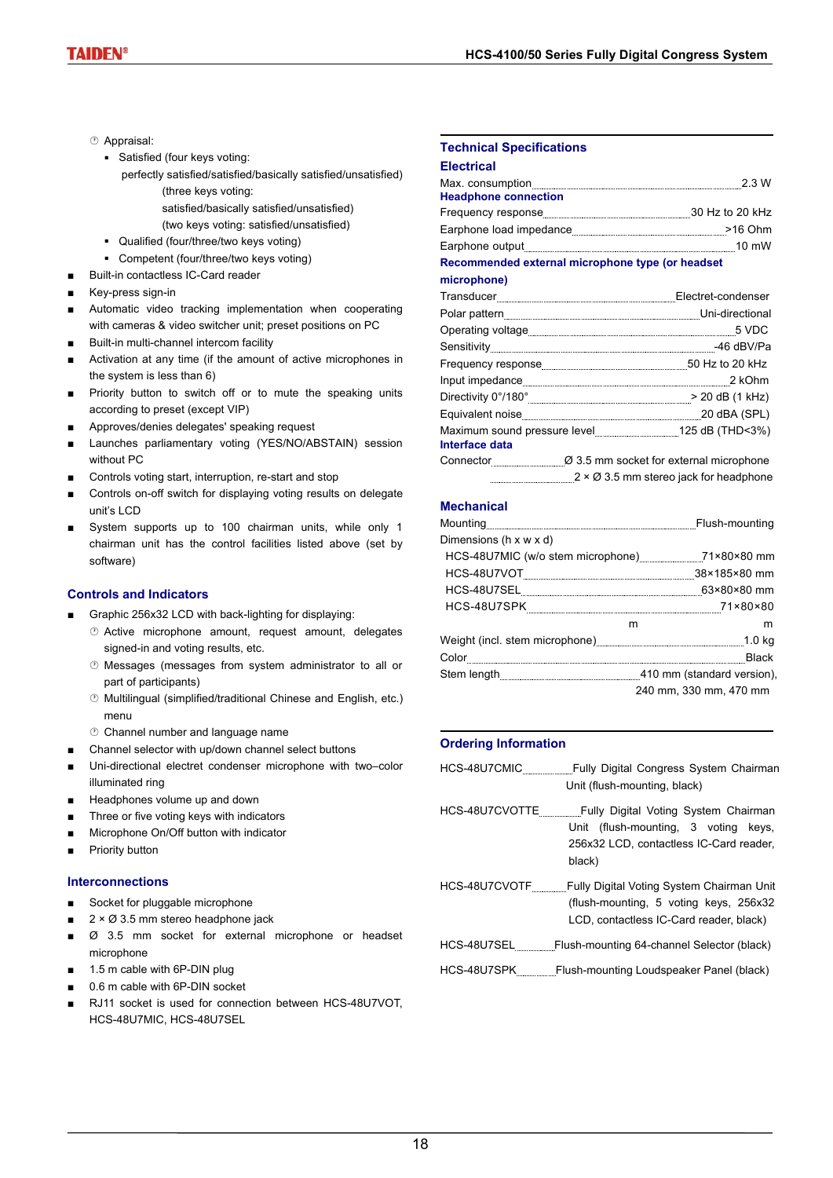- Appraisal:
	- Satisfied (four keys voting:
		- perfectly satisfied/satisfied/basically satisfied/unsatisfied) (three keys voting:
			- satisfied/basically satisfied/unsatisfied)
			- (two keys voting: satisfied/unsatisfied)
	- Qualified (four/three/two keys voting)
	- Competent (four/three/two keys voting)
- Built-in contactless IC-Card reader
- Key-press sign-in
- Automatic video tracking implementation when cooperating with cameras & video switcher unit; preset positions on PC
- Built-in multi-channel intercom facility
- Activation at any time (if the amount of active microphones in the system is less than 6)
- Priority button to switch off or to mute the speaking units according to preset (except VIP)
- Approves/denies delegates' speaking request
- Launches parliamentary voting (YES/NO/ABSTAIN) session without PC
- Controls voting start, interruption, re-start and stop
- Controls on-off switch for displaying voting results on delegate unit's LCD
- System supports up to 100 chairman units, while only 1 chairman unit has the control facilities listed above (set by software)

### **Controls and Indicators**

- Graphic 256x32 LCD with back-lighting for displaying:
	- Active microphone amount, request amount, delegates signed-in and voting results, etc.
	- Messages (messages from system administrator to all or part of participants)
	- Multilingual (simplified/traditional Chinese and English, etc.) menu
	- Channel number and language name
	- Channel selector with up/down channel select buttons
- Uni-directional electret condenser microphone with two–color illuminated ring
- Headphones volume up and down
- Three or five voting keys with indicators
- Microphone On/Off button with indicator
- Priority button

### **Interconnections**

- Socket for pluggable microphone
- $2 \times \emptyset$  3.5 mm stereo headphone jack
- Ø 3.5 mm socket for external microphone or headset microphone
- 1.5 m cable with 6P-DIN plug
- 0.6 m cable with 6P-DIN socket
- RJ11 socket is used for connection between HCS-48U7VOT, HCS-48U7MIC, HCS-48U7SEL

### **Technical Specifications**

| <b>Electrical</b>           |                 |
|-----------------------------|-----------------|
| Max. consumption            | 2 3 W           |
| <b>Headphone connection</b> |                 |
| Frequency response          | 30 Hz to 20 kHz |
| Earphone load impedance     | $>16$ Ohm       |

Earphone output 10 mW **Recommended external microphone type (or headset**

#### **microphone)**

|                | $\label{prop:rel} \begin{minipage}{.4\linewidth} Transducer \begin{tabular}{l} \hline \textbf{Transducer} \end{tabular} \end{minipage} \begin{minipage}{.4\linewidth} \textbf{Block} \end{minipage} \begin{minipage}{.4\linewidth} \textbf{Electret-condense} \end{minipage}$ |
|----------------|-------------------------------------------------------------------------------------------------------------------------------------------------------------------------------------------------------------------------------------------------------------------------------|
|                |                                                                                                                                                                                                                                                                               |
|                |                                                                                                                                                                                                                                                                               |
|                |                                                                                                                                                                                                                                                                               |
|                |                                                                                                                                                                                                                                                                               |
|                |                                                                                                                                                                                                                                                                               |
|                |                                                                                                                                                                                                                                                                               |
|                |                                                                                                                                                                                                                                                                               |
| Interface data |                                                                                                                                                                                                                                                                               |
|                | Connector $\varnothing$ 3.5 mm socket for external microphone                                                                                                                                                                                                                 |
|                | 2 × Ø 3.5 mm stereo jack for headphone                                                                                                                                                                                                                                        |

### **Mechanical**

|                                                                    | Flush-mounting         |
|--------------------------------------------------------------------|------------------------|
| Dimensions (h x w x d)                                             |                        |
| HCS-48U7MIC (w/o stem microphone) 71×80×80 mm                      |                        |
|                                                                    |                        |
|                                                                    | 63×80×80 mm            |
|                                                                    |                        |
|                                                                    | m<br>m                 |
| Weight (incl. stem microphone) [10] Weight (incl. stem microphone) |                        |
|                                                                    | <b>Black</b>           |
| Stem length 410 mm (standard version),                             |                        |
|                                                                    | 240 mm. 330 mm. 470 mm |

### **Ordering Information**

|             | HCS-48U7CMIC Fully Digital Congress System Chairman<br>Unit (flush-mounting, black)                                                                 |
|-------------|-----------------------------------------------------------------------------------------------------------------------------------------------------|
|             | Unit (flush-mounting, 3 voting keys,<br>256x32 LCD, contactless IC-Card reader,<br>black)                                                           |
|             | HCS-48U7CVOTF _______Fully Digital Voting System Chairman Unit<br>(flush-mounting, 5 voting keys, 256x32<br>LCD, contactless IC-Card reader, black) |
|             | HCS-48U7SEL Flush-mounting 64-channel Selector (black)                                                                                              |
| HCS-48U7SPK | Flush-mounting Loudspeaker Panel (black)                                                                                                            |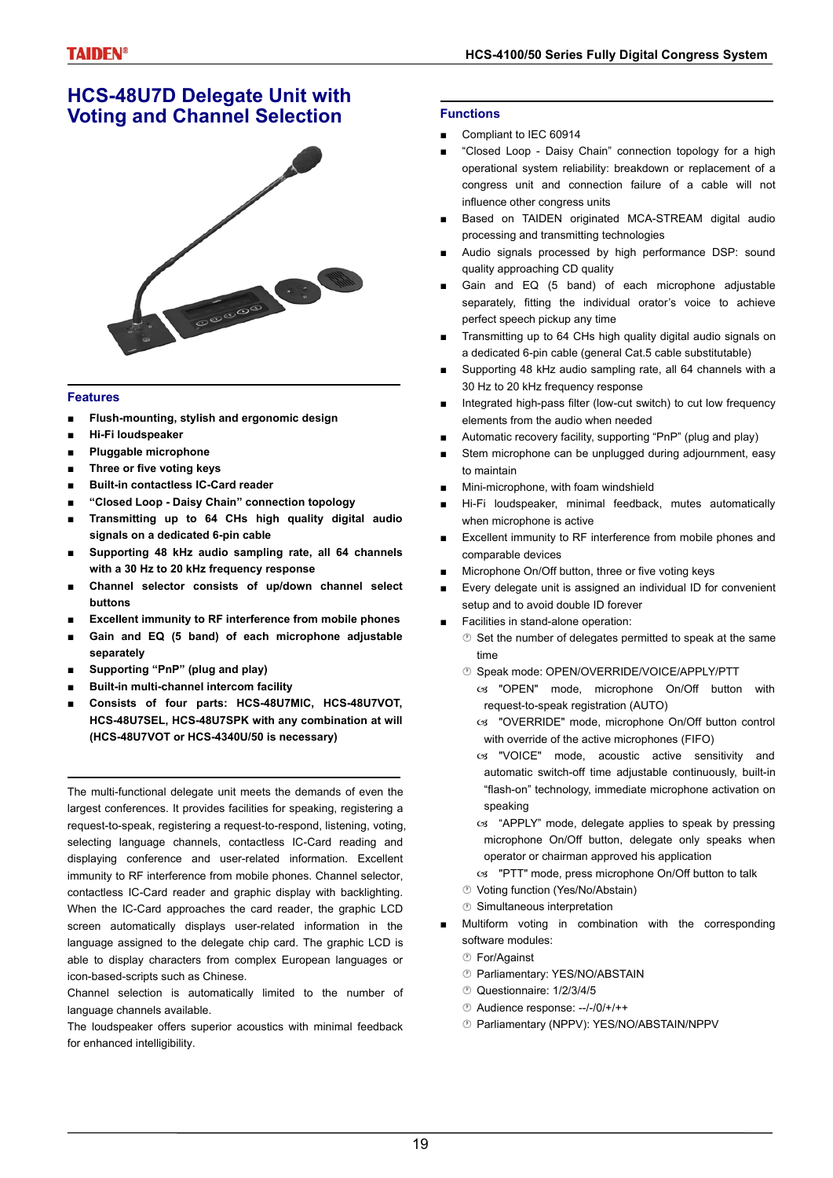## **HCS-48U7D Delegate Unit with Voting and Channel Selection**



### **Features**

- **■ Flush-mounting, stylish and ergonomic design**
- **■ Hi-Fi loudspeaker**
- **Pluggable microphone**
- **■ Three or five voting keys**
- **■ Built-in contactless IC-Card reader**
- **■ "Closed Loop Daisy Chain" connection topology**
- **■ Transmitting up to 64 CHs high quality digital audio signals on a dedicated 6-pin cable**
- **■ Supporting 48 kHz audio sampling rate, all 64 channels with a 30 Hz to 20 kHz frequency response**
- **■ Channel selector consists of up/down channel select buttons**
- **Excellent immunity to RF interference from mobile phones**
- Gain and EQ (5 band) of each microphone adjustable **separately**
- **■ Supporting "PnP" (plug and play)**
- **■ Built-in multi-channel intercom facility**
- **■ Consists of four parts: HCS-48U7MIC, HCS-48U7VOT, HCS-48U7SEL, HCS-48U7SPK with any combination at will (HCS-48U7VOT or HCS-4340U/50 is necessary)**

The multi-functional delegate unit meets the demands of even the largest conferences. It provides facilities for speaking, registering a request-to-speak, registering a request-to-respond, listening, voting, selecting language channels, contactless IC-Card reading and displaying conference and user-related information. Excellent immunity to RF interference from mobile phones. Channel selector, contactless IC-Card reader and graphic display with backlighting. When the IC-Card approaches the card reader, the graphic LCD screen automatically displays user-related information in the language assigned to the delegate chip card. The graphic LCD is able to display characters from complex European languages or icon-based-scripts such as Chinese.

Channel selection is automatically limited to the number of language channels available.

The loudspeaker offers superior acoustics with minimal feedback for enhanced intelligibility.

#### **Functions**

- Compliant to IEC 60914
- "Closed Loop Daisy Chain" connection topology for a high operational system reliability: breakdown or replacement of a congress unit and connection failure of a cable will not influence other congress units
- Based on TAIDEN originated MCA-STREAM digital audio processing and transmitting technologies
- Audio signals processed by high performance DSP: sound quality approaching CD quality
- Gain and EQ (5 band) of each microphone adjustable separately, fitting the individual orator's voice to achieve perfect speech pickup any time
- Transmitting up to 64 CHs high quality digital audio signals on a dedicated 6-pin cable (general Cat.5 cable substitutable)
- Supporting 48 kHz audio sampling rate, all 64 channels with a 30 Hz to 20 kHz frequency response
- Integrated high-pass filter (low-cut switch) to cut low frequency elements from the audio when needed
- Automatic recovery facility, supporting "PnP" (plug and play)
- Stem microphone can be unplugged during adjournment, easy to maintain
- Mini-microphone, with foam windshield
- Hi-Fi loudspeaker, minimal feedback, mutes automatically when microphone is active
- Excellent immunity to RF interference from mobile phones and comparable devices
- Microphone On/Off button, three or five voting keys
- Every delegate unit is assigned an individual ID for convenient setup and to avoid double ID forever
- Facilities in stand-alone operation:
	- $\circledcirc$  Set the number of delegates permitted to speak at the same time
	- **<sup>®</sup> Speak mode: OPEN/OVERRIDE/VOICE/APPLY/PTT** 
		- $\infty$  "OPEN" mode, microphone On/Off button with request-to-speak registration (AUTO)
		- cs "OVERRIDE" mode, microphone On/Off button control with override of the active microphones (FIFO)
		- cs "VOICE" mode, acoustic active sensitivity and automatic switch-off time adjustable continuously, built-in "flash-on" technology, immediate microphone activation on speaking
		- cs "APPLY" mode, delegate applies to speak by pressing microphone On/Off button, delegate only speaks when operator or chairman approved his application
		- cs "PTT" mode, press microphone On/Off button to talk
	- Voting function (Yes/No/Abstain)
	- Simultaneous interpretation
- Multiform voting in combination with the corresponding software modules:
	- For/Against
	- Parliamentary: YES/NO/ABSTAIN
	- Questionnaire: 1/2/3/4/5
	- Audience response: --/-/0/+/++
	- Parliamentary (NPPV): YES/NO/ABSTAIN/NPPV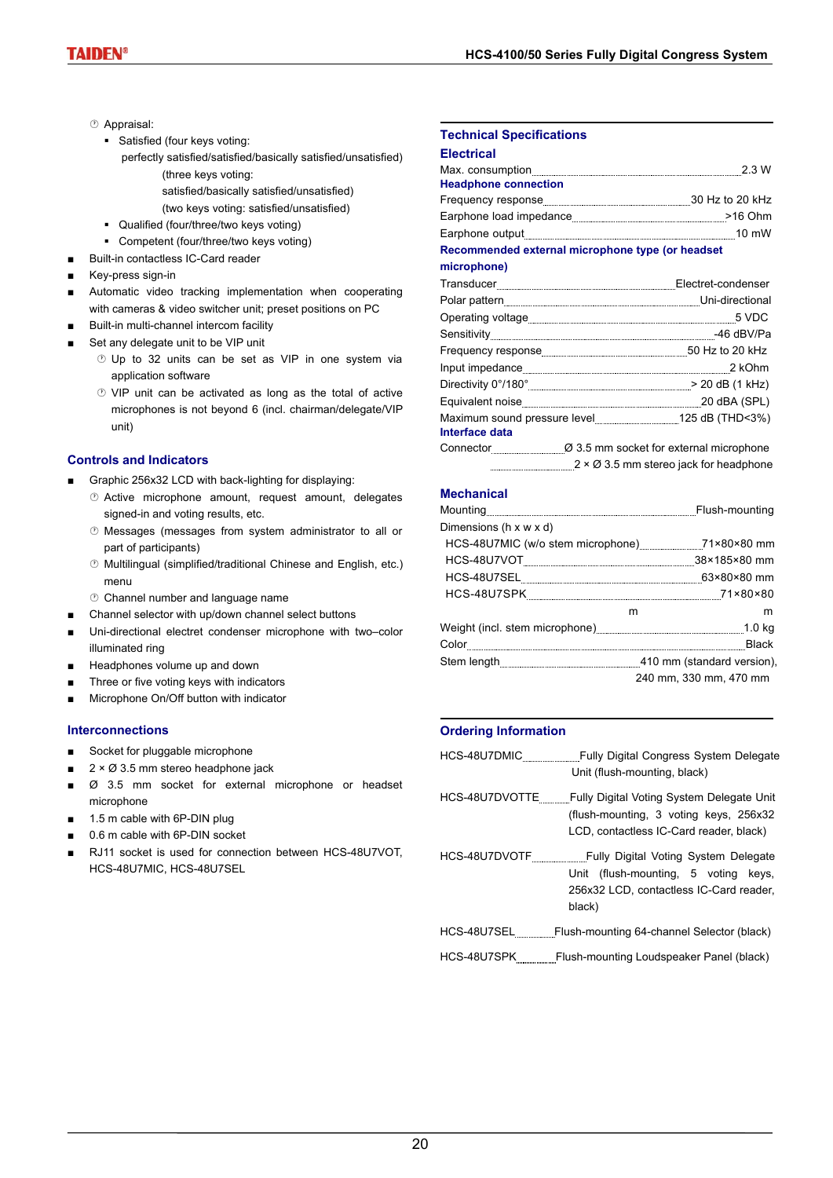- Appraisal:
	- Satisfied (four keys voting:
		- perfectly satisfied/satisfied/basically satisfied/unsatisfied) (three keys voting:
			- satisfied/basically satisfied/unsatisfied)
			- (two keys voting: satisfied/unsatisfied)
	- Qualified (four/three/two keys voting)
	- Competent (four/three/two keys voting)
- Built-in contactless IC-Card reader
- Key-press sign-in
- Automatic video tracking implementation when cooperating with cameras & video switcher unit; preset positions on PC
- Built-in multi-channel intercom facility
- Set any delegate unit to be VIP unit
	- *®* Up to 32 units can be set as VIP in one system via application software
	- VIP unit can be activated as long as the total of active microphones is not beyond 6 (incl. chairman/delegate/VIP unit)

### **Controls and Indicators**

- Graphic 256x32 LCD with back-lighting for displaying:
	- Active microphone amount, request amount, delegates signed-in and voting results, etc.
	- Messages (messages from system administrator to all or part of participants)
	- Multilingual (simplified/traditional Chinese and English, etc.) menu
	- Channel number and language name
- Channel selector with up/down channel select buttons
- Uni-directional electret condenser microphone with two–color illuminated ring
- Headphones volume up and down
- Three or five voting keys with indicators
- Microphone On/Off button with indicator

#### **Interconnections**

- Socket for pluggable microphone
- $2 \times \emptyset$  3.5 mm stereo headphone jack
- Ø 3.5 mm socket for external microphone or headset microphone
- 1.5 m cable with 6P-DIN plug
- 0.6 m cable with 6P-DIN socket
- RJ11 socket is used for connection between HCS-48U7VOT. HCS-48U7MIC, HCS-48U7SEL

#### **Technical Specifications**

#### **Electrical**

|                             | 2.3 W           |
|-----------------------------|-----------------|
| <b>Headphone connection</b> |                 |
|                             | 30 Hz to 20 kHz |
| Earphone load impedance     | $>16$ Ohm       |
|                             | 10 mW           |

### **Recommended external microphone type (or headset**

**microphone)**

|                | $\label{prop:rel} \begin{minipage}{.4\linewidth} Transducer \begin{tabular}{l} \hline \textbf{Transducer} \end{tabular} \end{minipage} \begin{minipage}{.4\linewidth} \textbf{Block} \end{minipage} \begin{minipage}{.4\linewidth} \textbf{Electret-condense} \end{minipage}$ |
|----------------|-------------------------------------------------------------------------------------------------------------------------------------------------------------------------------------------------------------------------------------------------------------------------------|
|                | Polar pattern [[11] Discretional Linux and Discretional Linux and Discretional Linux and Discretional                                                                                                                                                                         |
|                |                                                                                                                                                                                                                                                                               |
|                |                                                                                                                                                                                                                                                                               |
|                |                                                                                                                                                                                                                                                                               |
|                |                                                                                                                                                                                                                                                                               |
|                |                                                                                                                                                                                                                                                                               |
|                |                                                                                                                                                                                                                                                                               |
| Interface data |                                                                                                                                                                                                                                                                               |
|                | Connector 2.5 mm socket for external microphone                                                                                                                                                                                                                               |
|                | $2 \times \emptyset$ 3.5 mm stereo jack for headphone                                                                                                                                                                                                                         |

### **Mechanical**

| Dimensions (h x w x d)                                  |                        |   |
|---------------------------------------------------------|------------------------|---|
| HCS-48U7MIC (w/o stem microphone) 71×80×80 mm           |                        |   |
|                                                         |                        |   |
|                                                         |                        |   |
| HCS-48U7SPK                                             |                        |   |
|                                                         | m                      | m |
| Weight (incl. stem microphone) www.wallucum.com/ 1.0 kg |                        |   |
|                                                         |                        |   |
|                                                         |                        |   |
|                                                         | 240 mm. 330 mm. 470 mm |   |

#### **Ordering Information**

| HCS-48U7DMIC                 | Fully Digital Congress System Delegate |  |
|------------------------------|----------------------------------------|--|
| Unit (flush-mounting, black) |                                        |  |

- HCS-48U7DVOTTE Fully Digital Voting System Delegate Unit (flush-mounting, 3 voting keys, 256x32 LCD, contactless IC-Card reader, black)
- HCS-48U7DVOTF \_\_\_\_\_\_\_\_\_\_\_\_\_\_Fully Digital Voting System Delegate Unit (flush-mounting, 5 voting keys, 256x32 LCD, contactless IC-Card reader, black)

HCS-48U7SPK Flush-mounting Loudspeaker Panel (black)

HCS-48U7SEL Flush-mounting 64-channel Selector (black)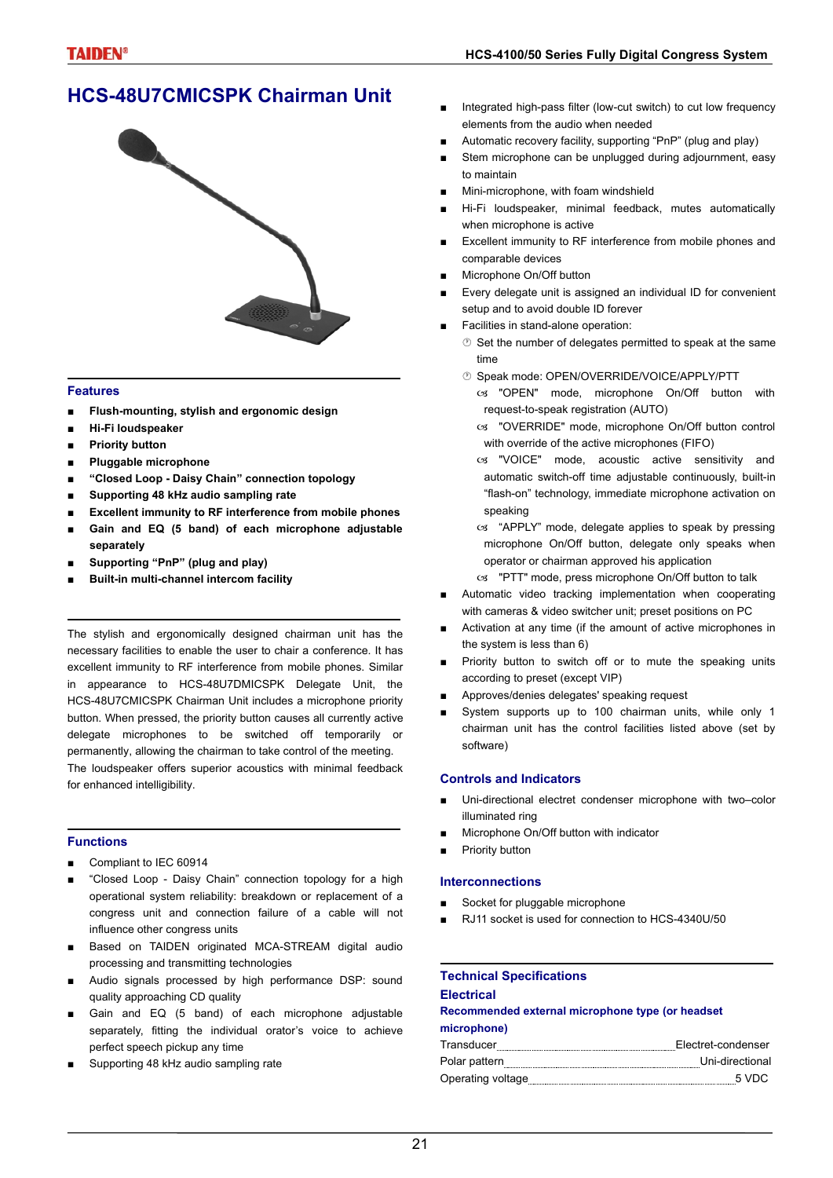# **HCS-48U7CMICSPK Chairman Unit**



### **Features**

- **■ Flush-mounting, stylish and ergonomic design**
- **■ Hi-Fi loudspeaker**
- **■ Priority button**
- **■ Pluggable microphone**
- **■ "Closed Loop Daisy Chain" connection topology**
- **■ Supporting 48 kHz audio sampling rate**
- **Excellent immunity to RF interference from mobile phones**
- **■ Gain and EQ (5 band) of each microphone adjustable separately**
- **■ Supporting "PnP" (plug and play)**
- **■ Built-in multi-channel intercom facility**

The stylish and ergonomically designed chairman unit has the necessary facilities to enable the user to chair a conference. It has excellent immunity to RF interference from mobile phones. Similar in appearance to HCS-48U7DMICSPK Delegate Unit, the HCS-48U7CMICSPK Chairman Unit includes a microphone priority button. When pressed, the priority button causes all currently active delegate microphones to be switched off temporarily or permanently, allowing the chairman to take control of the meeting. The loudspeaker offers superior acoustics with minimal feedback for enhanced intelligibility.

### **Functions**

- Compliant to IEC 60914
- "Closed Loop Daisy Chain" connection topology for a high operational system reliability: breakdown or replacement of a congress unit and connection failure of a cable will not influence other congress units
- Based on TAIDEN originated MCA-STREAM digital audio processing and transmitting technologies
- Audio signals processed by high performance DSP: sound quality approaching CD quality
- Gain and EQ (5 band) of each microphone adjustable separately, fitting the individual orator's voice to achieve perfect speech pickup any time
- Supporting 48 kHz audio sampling rate
- Integrated high-pass filter (low-cut switch) to cut low frequency elements from the audio when needed
- Automatic recovery facility, supporting "PnP" (plug and play)
- Stem microphone can be unplugged during adjournment, easy to maintain
- Mini-microphone, with foam windshield
- Hi-Fi loudspeaker, minimal feedback, mutes automatically when microphone is active
- Excellent immunity to RF interference from mobile phones and comparable devices
- Microphone On/Off button
- Every delegate unit is assigned an individual ID for convenient setup and to avoid double ID forever
- Facilities in stand-alone operation:
	- $\circledcirc$  Set the number of delegates permitted to speak at the same time
	- Speak mode: OPEN/OVERRIDE/VOICE/APPLY/PTT
		- $\infty$  "OPEN" mode, microphone On/Off button with request-to-speak registration (AUTO)
		- cs "OVERRIDE" mode, microphone On/Off button control with override of the active microphones (FIFO)
		- W "VOICE" mode, acoustic active sensitivity and automatic switch-off time adjustable continuously, built-in "flash-on" technology, immediate microphone activation on speaking
		- $\infty$  "APPLY" mode, delegate applies to speak by pressing microphone On/Off button, delegate only speaks when operator or chairman approved his application
		- cs "PTT" mode, press microphone On/Off button to talk
- Automatic video tracking implementation when cooperating with cameras & video switcher unit; preset positions on PC
- Activation at any time (if the amount of active microphones in the system is less than 6)
- Priority button to switch off or to mute the speaking units according to preset (except VIP)
- Approves/denies delegates' speaking request
- System supports up to 100 chairman units, while only 1 chairman unit has the control facilities listed above (set by software)

### **Controls and Indicators**

- Uni-directional electret condenser microphone with two–color illuminated ring
- Microphone On/Off button with indicator
- Priority button

#### **Interconnections**

- Socket for pluggable microphone
- RJ11 socket is used for connection to HCS-4340U/50

# **Technical Specifications**

### **Electrical**

**Recommended external microphone type (or headset microphone)**

| Transducer        | Electret-condenser |
|-------------------|--------------------|
| Polar pattern     | Uni-directional    |
| Operating voltage | 5 VDC              |
|                   |                    |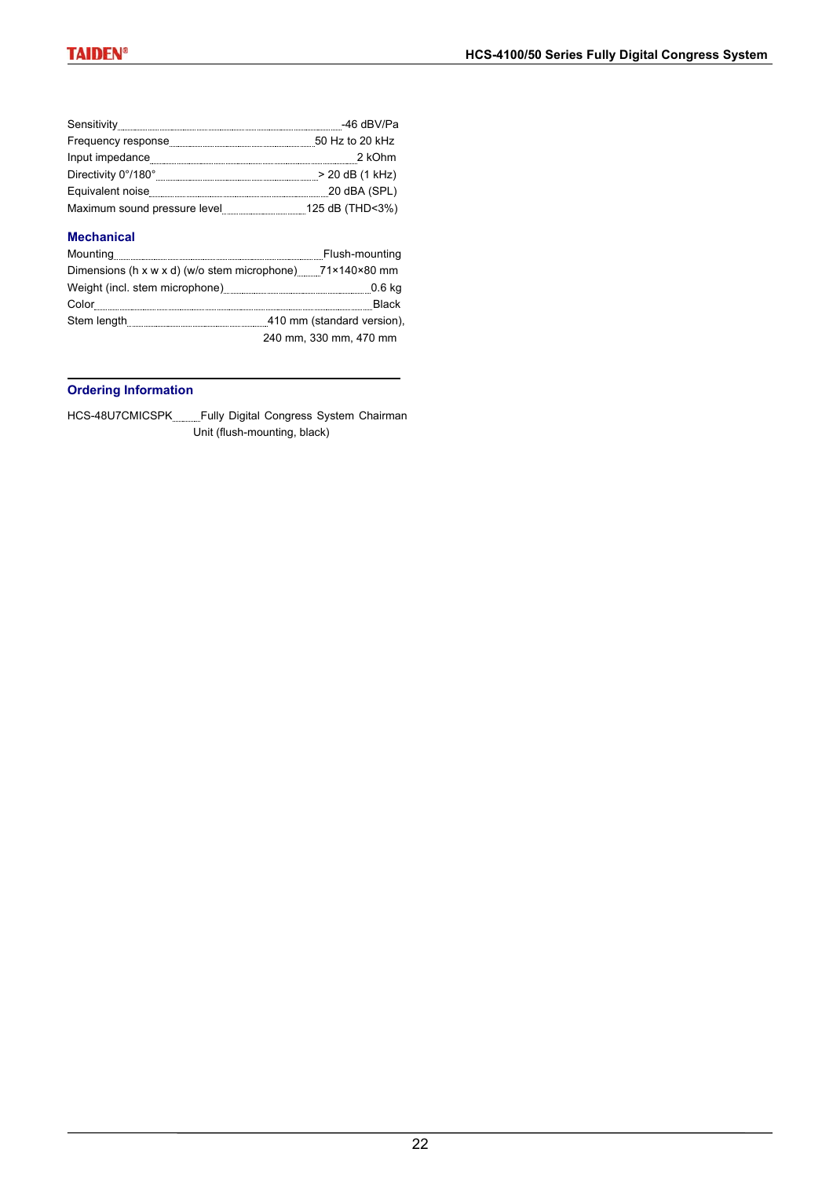|                                  | -46 dBV/Pa      |
|----------------------------------|-----------------|
| Frequency response               | 50 Hz to 20 kHz |
| Input impedance                  | 2 kOhm          |
| Directivity 0°/180°              | > 20 dB (1 kHz) |
| Equivalent noise                 | 20 dBA (SPL)    |
| Maximum sound pressure level<br> | 125 dB (THD<3%) |

### **Mechanical**

|                                                                           | Flush-mounting             |
|---------------------------------------------------------------------------|----------------------------|
| Dimensions (h x w x d) (w/o stem microphone) $71 \times 140 \times 80$ mm |                            |
|                                                                           | $0.6$ kg                   |
| Color                                                                     | <b>Black</b>               |
| Stem length                                                               | 410 mm (standard version). |
|                                                                           | 240 mm, 330 mm, 470 mm     |

## **Ordering Information**

HCS-48U7CMICSPK Fully Digital Congress System Chairman Unit (flush-mounting, black)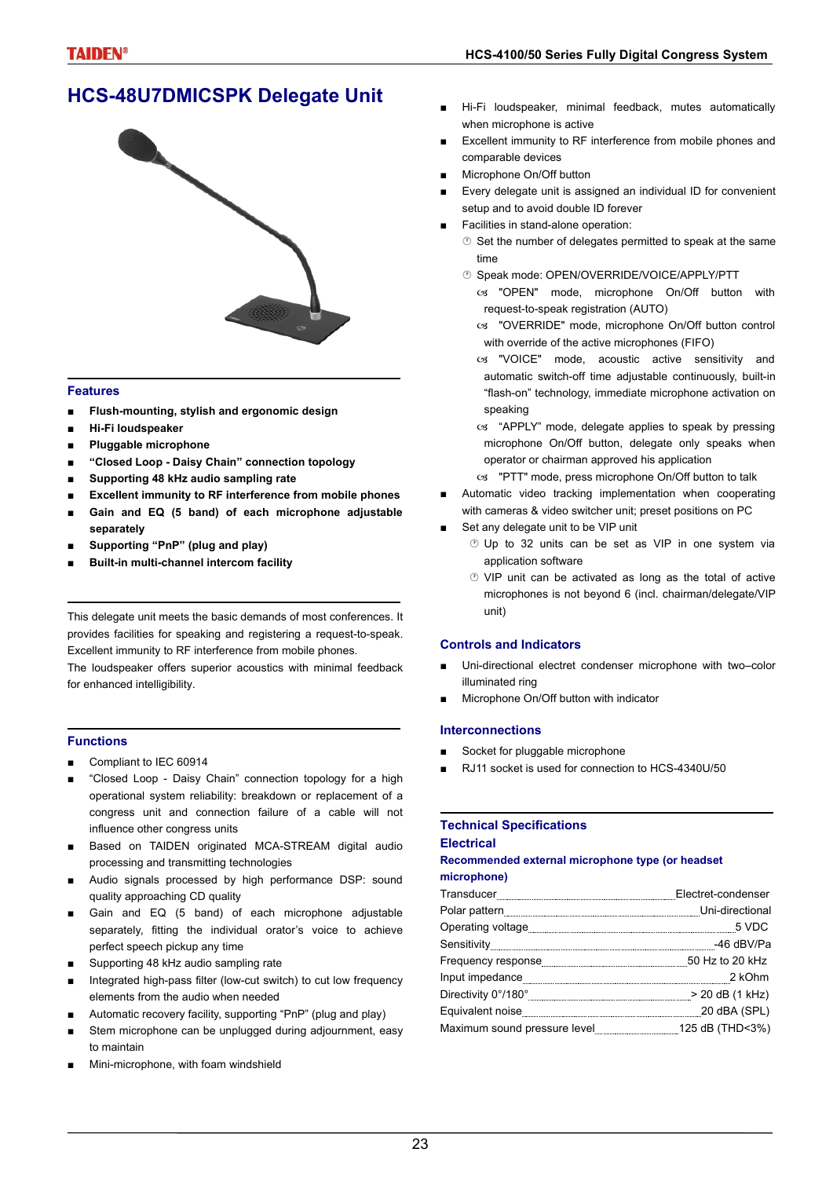# **HCS-48U7DMICSPK Delegate Unit**



### **Features**

- **■ Flush-mounting, stylish and ergonomic design**
- **■ Hi-Fi loudspeaker**
- **■ Pluggable microphone**
- **■ "Closed Loop Daisy Chain" connection topology**
- **■ Supporting 48 kHz audio sampling rate**
- **Excellent immunity to RF interference from mobile phones**
- **■ Gain and EQ (5 band) of each microphone adjustable separately**
- **■ Supporting "PnP" (plug and play)**
- **■ Built-in multi-channel intercom facility**

This delegate unit meets the basic demands of most conferences. It provides facilities for speaking and registering a request-to-speak. Excellent immunity to RF interference from mobile phones.

The loudspeaker offers superior acoustics with minimal feedback for enhanced intelligibility.

### **Functions**

- Compliant to IEC 60914
- "Closed Loop Daisy Chain" connection topology for a high operational system reliability: breakdown or replacement of a congress unit and connection failure of a cable will not influence other congress units
- Based on TAIDEN originated MCA-STREAM digital audio processing and transmitting technologies
- Audio signals processed by high performance DSP: sound quality approaching CD quality
- Gain and EQ (5 band) of each microphone adjustable separately, fitting the individual orator's voice to achieve perfect speech pickup any time
- Supporting 48 kHz audio sampling rate
- Integrated high-pass filter (low-cut switch) to cut low frequency elements from the audio when needed
- Automatic recovery facility, supporting "PnP" (plug and play)
- Stem microphone can be unplugged during adjournment, easy to maintain
- Mini-microphone, with foam windshield
- Hi-Fi loudspeaker, minimal feedback, mutes automatically when microphone is active
- Excellent immunity to RF interference from mobile phones and comparable devices
- Microphone On/Off button
- Every delegate unit is assigned an individual ID for convenient setup and to avoid double ID forever
- Facilities in stand-alone operation:
	- $\circledcirc$  Set the number of delegates permitted to speak at the same time
	- Speak mode: OPEN/OVERRIDE/VOICE/APPLY/PTT
	- os "OPEN" mode, microphone On/Off button with request-to-speak registration (AUTO)
	- cs "OVERRIDE" mode, microphone On/Off button control with override of the active microphones (FIFO)
	- cs "VOICE" mode, acoustic active sensitivity and automatic switch-off time adjustable continuously, built-in "flash-on" technology, immediate microphone activation on speaking
	- cs "APPLY" mode, delegate applies to speak by pressing microphone On/Off button, delegate only speaks when operator or chairman approved his application
	- cs "PTT" mode, press microphone On/Off button to talk
- Automatic video tracking implementation when cooperating with cameras & video switcher unit; preset positions on PC
- Set any delegate unit to be VIP unit
	- *®* Up to 32 units can be set as VIP in one system via application software
	- VIP unit can be activated as long as the total of active microphones is not beyond 6 (incl. chairman/delegate/VIP unit)

### **Controls and Indicators**

- Uni-directional electret condenser microphone with two–color illuminated ring
- Microphone On/Off button with indicator

### **Interconnections**

- Socket for pluggable microphone
- RJ11 socket is used for connection to HCS-4340U/50

## **Technical Specifications**

### **Electrical**

### **Recommended external microphone type (or headset microphone)**

| $\label{thm:main} \hspace*{2.5mm} \textbf{Transducer} \textcolor{red}{\textbf{num} \textcolor{red}{\textbf{new} \textbf{new} \textbf{new} \textbf{new} \textbf{new} \textbf{new} \textbf{new} \textbf{new} \textbf{new} \textbf{new} \textbf{new} \textbf{new} \textbf{new} \textbf{new} \textbf{new} \textbf{new} \textbf{new} \textbf{new} \textbf{new} \textbf{new} \textbf{new} \textbf{new} \textbf{new} \textbf{new} \textbf{new} \textbf{new} \textbf{new} \textbf{new} \textbf{new} \textbf$ |  |
|------------------------------------------------------------------------------------------------------------------------------------------------------------------------------------------------------------------------------------------------------------------------------------------------------------------------------------------------------------------------------------------------------------------------------------------------------------------------------------------------------|--|
|                                                                                                                                                                                                                                                                                                                                                                                                                                                                                                      |  |
|                                                                                                                                                                                                                                                                                                                                                                                                                                                                                                      |  |
|                                                                                                                                                                                                                                                                                                                                                                                                                                                                                                      |  |
|                                                                                                                                                                                                                                                                                                                                                                                                                                                                                                      |  |
|                                                                                                                                                                                                                                                                                                                                                                                                                                                                                                      |  |
|                                                                                                                                                                                                                                                                                                                                                                                                                                                                                                      |  |
|                                                                                                                                                                                                                                                                                                                                                                                                                                                                                                      |  |
|                                                                                                                                                                                                                                                                                                                                                                                                                                                                                                      |  |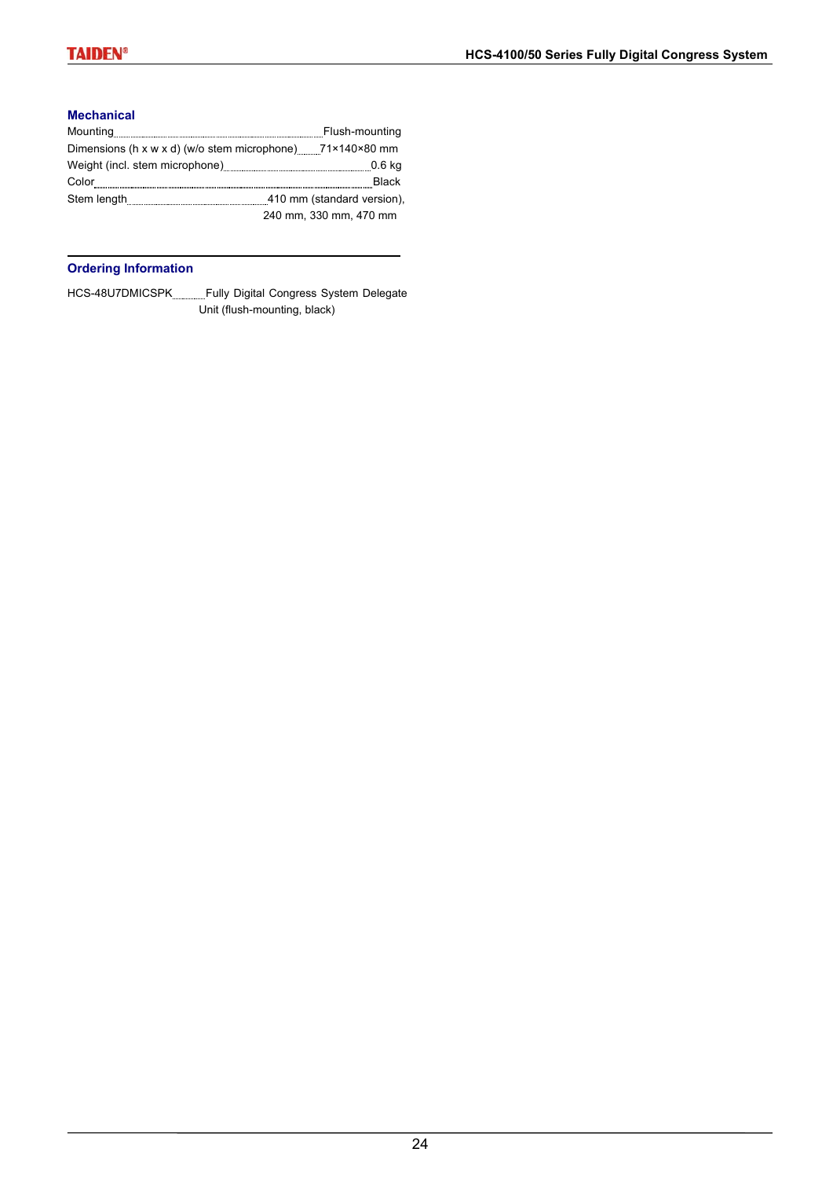### **Mechanical**

|                                                                           | Flush-mounting             |
|---------------------------------------------------------------------------|----------------------------|
| Dimensions (h x w x d) (w/o stem microphone) $71 \times 140 \times 80$ mm |                            |
|                                                                           | 0.6 kg                     |
| Color                                                                     | <b>Black</b>               |
|                                                                           | 410 mm (standard version). |
|                                                                           | 240 mm, 330 mm, 470 mm     |

## **Ordering Information**

HCS-48U7DMICSPK Fully Digital Congress System Delegate Unit (flush-mounting, black)